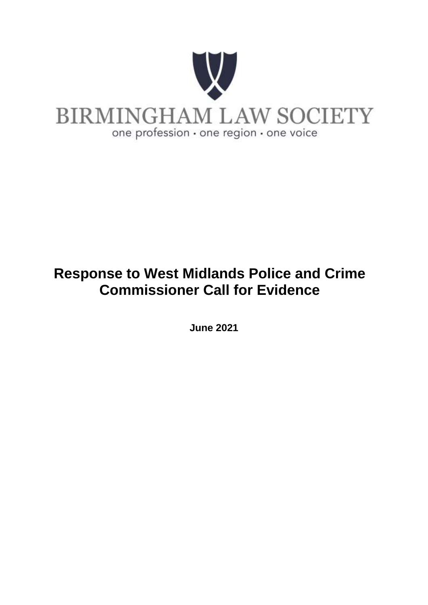

# **Response to West Midlands Police and Crime Commissioner Call for Evidence**

**June 2021**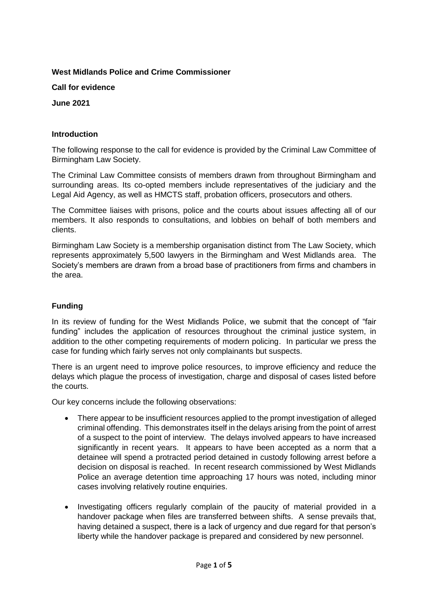## **West Midlands Police and Crime Commissioner**

**Call for evidence**

**June 2021** 

#### **Introduction**

The following response to the call for evidence is provided by the Criminal Law Committee of Birmingham Law Society.

The Criminal Law Committee consists of members drawn from throughout Birmingham and surrounding areas. Its co-opted members include representatives of the judiciary and the Legal Aid Agency, as well as HMCTS staff, probation officers, prosecutors and others.

The Committee liaises with prisons, police and the courts about issues affecting all of our members. It also responds to consultations, and lobbies on behalf of both members and clients.

Birmingham Law Society is a membership organisation distinct from The Law Society, which represents approximately 5,500 lawyers in the Birmingham and West Midlands area. The Society's members are drawn from a broad base of practitioners from firms and chambers in the area.

# **Funding**

In its review of funding for the West Midlands Police, we submit that the concept of "fair funding" includes the application of resources throughout the criminal justice system, in addition to the other competing requirements of modern policing. In particular we press the case for funding which fairly serves not only complainants but suspects.

There is an urgent need to improve police resources, to improve efficiency and reduce the delays which plague the process of investigation, charge and disposal of cases listed before the courts.

Our key concerns include the following observations:

- There appear to be insufficient resources applied to the prompt investigation of alleged criminal offending. This demonstrates itself in the delays arising from the point of arrest of a suspect to the point of interview. The delays involved appears to have increased significantly in recent years. It appears to have been accepted as a norm that a detainee will spend a protracted period detained in custody following arrest before a decision on disposal is reached. In recent research commissioned by West Midlands Police an average detention time approaching 17 hours was noted, including minor cases involving relatively routine enquiries.
- Investigating officers regularly complain of the paucity of material provided in a handover package when files are transferred between shifts. A sense prevails that, having detained a suspect, there is a lack of urgency and due regard for that person's liberty while the handover package is prepared and considered by new personnel.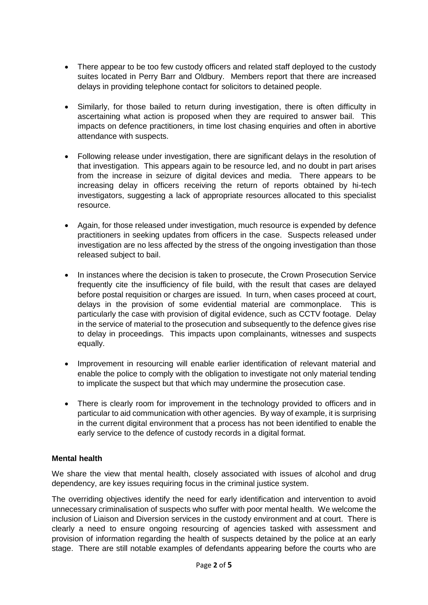- There appear to be too few custody officers and related staff deployed to the custody suites located in Perry Barr and Oldbury. Members report that there are increased delays in providing telephone contact for solicitors to detained people.
- Similarly, for those bailed to return during investigation, there is often difficulty in ascertaining what action is proposed when they are required to answer bail. This impacts on defence practitioners, in time lost chasing enquiries and often in abortive attendance with suspects.
- Following release under investigation, there are significant delays in the resolution of that investigation. This appears again to be resource led, and no doubt in part arises from the increase in seizure of digital devices and media. There appears to be increasing delay in officers receiving the return of reports obtained by hi-tech investigators, suggesting a lack of appropriate resources allocated to this specialist resource.
- Again, for those released under investigation, much resource is expended by defence practitioners in seeking updates from officers in the case. Suspects released under investigation are no less affected by the stress of the ongoing investigation than those released subject to bail.
- In instances where the decision is taken to prosecute, the Crown Prosecution Service frequently cite the insufficiency of file build, with the result that cases are delayed before postal requisition or charges are issued. In turn, when cases proceed at court, delays in the provision of some evidential material are commonplace. This is particularly the case with provision of digital evidence, such as CCTV footage. Delay in the service of material to the prosecution and subsequently to the defence gives rise to delay in proceedings. This impacts upon complainants, witnesses and suspects equally.
- Improvement in resourcing will enable earlier identification of relevant material and enable the police to comply with the obligation to investigate not only material tending to implicate the suspect but that which may undermine the prosecution case.
- There is clearly room for improvement in the technology provided to officers and in particular to aid communication with other agencies. By way of example, it is surprising in the current digital environment that a process has not been identified to enable the early service to the defence of custody records in a digital format.

#### **Mental health**

We share the view that mental health, closely associated with issues of alcohol and drug dependency, are key issues requiring focus in the criminal justice system.

The overriding objectives identify the need for early identification and intervention to avoid unnecessary criminalisation of suspects who suffer with poor mental health. We welcome the inclusion of Liaison and Diversion services in the custody environment and at court. There is clearly a need to ensure ongoing resourcing of agencies tasked with assessment and provision of information regarding the health of suspects detained by the police at an early stage. There are still notable examples of defendants appearing before the courts who are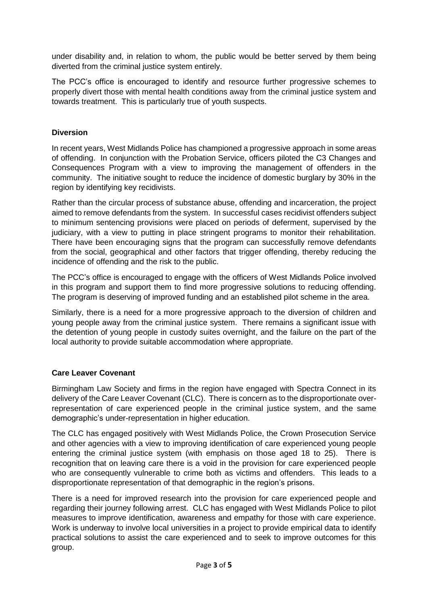under disability and, in relation to whom, the public would be better served by them being diverted from the criminal justice system entirely.

The PCC's office is encouraged to identify and resource further progressive schemes to properly divert those with mental health conditions away from the criminal justice system and towards treatment. This is particularly true of youth suspects.

#### **Diversion**

In recent years, West Midlands Police has championed a progressive approach in some areas of offending. In conjunction with the Probation Service, officers piloted the C3 Changes and Consequences Program with a view to improving the management of offenders in the community. The initiative sought to reduce the incidence of domestic burglary by 30% in the region by identifying key recidivists.

Rather than the circular process of substance abuse, offending and incarceration, the project aimed to remove defendants from the system. In successful cases recidivist offenders subject to minimum sentencing provisions were placed on periods of deferment, supervised by the judiciary, with a view to putting in place stringent programs to monitor their rehabilitation. There have been encouraging signs that the program can successfully remove defendants from the social, geographical and other factors that trigger offending, thereby reducing the incidence of offending and the risk to the public.

The PCC's office is encouraged to engage with the officers of West Midlands Police involved in this program and support them to find more progressive solutions to reducing offending. The program is deserving of improved funding and an established pilot scheme in the area.

Similarly, there is a need for a more progressive approach to the diversion of children and young people away from the criminal justice system. There remains a significant issue with the detention of young people in custody suites overnight, and the failure on the part of the local authority to provide suitable accommodation where appropriate.

#### **Care Leaver Covenant**

Birmingham Law Society and firms in the region have engaged with Spectra Connect in its delivery of the Care Leaver Covenant (CLC). There is concern as to the disproportionate overrepresentation of care experienced people in the criminal justice system, and the same demographic's under-representation in higher education.

The CLC has engaged positively with West Midlands Police, the Crown Prosecution Service and other agencies with a view to improving identification of care experienced young people entering the criminal justice system (with emphasis on those aged 18 to 25). There is recognition that on leaving care there is a void in the provision for care experienced people who are consequently vulnerable to crime both as victims and offenders. This leads to a disproportionate representation of that demographic in the region's prisons.

There is a need for improved research into the provision for care experienced people and regarding their journey following arrest. CLC has engaged with West Midlands Police to pilot measures to improve identification, awareness and empathy for those with care experience. Work is underway to involve local universities in a project to provide empirical data to identify practical solutions to assist the care experienced and to seek to improve outcomes for this group.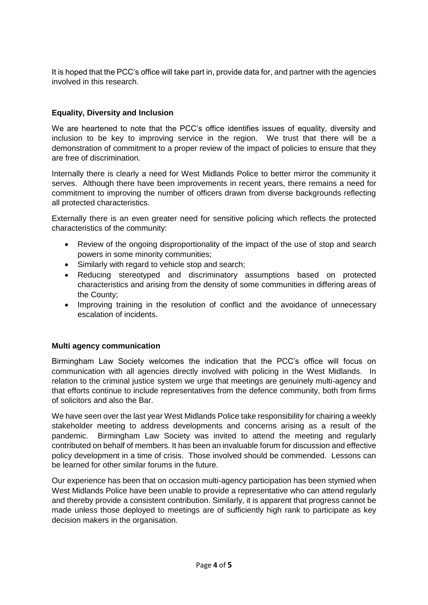It is hoped that the PCC's office will take part in, provide data for, and partner with the agencies involved in this research.

### **Equality, Diversity and Inclusion**

We are heartened to note that the PCC's office identifies issues of equality, diversity and inclusion to be key to improving service in the region. We trust that there will be a demonstration of commitment to a proper review of the impact of policies to ensure that they are free of discrimination.

Internally there is clearly a need for West Midlands Police to better mirror the community it serves. Although there have been improvements in recent years, there remains a need for commitment to improving the number of officers drawn from diverse backgrounds reflecting all protected characteristics.

Externally there is an even greater need for sensitive policing which reflects the protected characteristics of the community:

- Review of the ongoing disproportionality of the impact of the use of stop and search powers in some minority communities;
- Similarly with regard to vehicle stop and search:
- Reducing stereotyped and discriminatory assumptions based on protected characteristics and arising from the density of some communities in differing areas of the County;
- Improving training in the resolution of conflict and the avoidance of unnecessary escalation of incidents.

#### **Multi agency communication**

Birmingham Law Society welcomes the indication that the PCC's office will focus on communication with all agencies directly involved with policing in the West Midlands. In relation to the criminal justice system we urge that meetings are genuinely multi-agency and that efforts continue to include representatives from the defence community, both from firms of solicitors and also the Bar.

We have seen over the last year West Midlands Police take responsibility for chairing a weekly stakeholder meeting to address developments and concerns arising as a result of the pandemic. Birmingham Law Society was invited to attend the meeting and regularly contributed on behalf of members. It has been an invaluable forum for discussion and effective policy development in a time of crisis. Those involved should be commended. Lessons can be learned for other similar forums in the future.

Our experience has been that on occasion multi-agency participation has been stymied when West Midlands Police have been unable to provide a representative who can attend regularly and thereby provide a consistent contribution. Similarly, it is apparent that progress cannot be made unless those deployed to meetings are of sufficiently high rank to participate as key decision makers in the organisation.